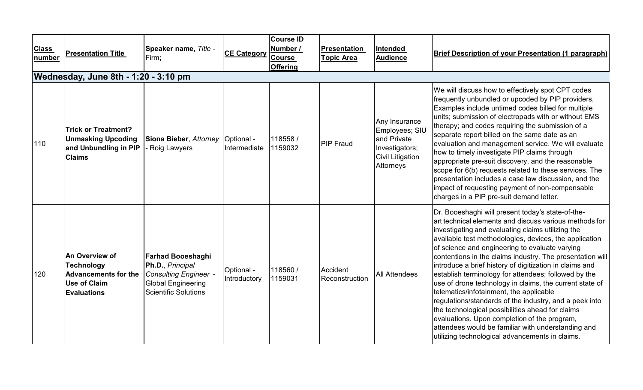| <b>Class</b><br>number | <b>Presentation Title</b>                                                                                       | Speaker name, Title -<br>Firm;                                                                                                           | <b>CE Category</b>         | <b>Course ID</b><br>Number /<br>Course<br><b>Offering</b> | <b>Presentation</b><br><u> Topic Area</u> | Intended<br><b>Audience</b>                                                                        | <b>Brief Description of your Presentation (1 paragraph)</b>                                                                                                                                                                                                                                                                                                                                                                                                                                                                                                                                                                                                                                                                                                                                                                               |
|------------------------|-----------------------------------------------------------------------------------------------------------------|------------------------------------------------------------------------------------------------------------------------------------------|----------------------------|-----------------------------------------------------------|-------------------------------------------|----------------------------------------------------------------------------------------------------|-------------------------------------------------------------------------------------------------------------------------------------------------------------------------------------------------------------------------------------------------------------------------------------------------------------------------------------------------------------------------------------------------------------------------------------------------------------------------------------------------------------------------------------------------------------------------------------------------------------------------------------------------------------------------------------------------------------------------------------------------------------------------------------------------------------------------------------------|
|                        | Wednesday, June 8th - 1:20 - 3:10 pm                                                                            |                                                                                                                                          |                            |                                                           |                                           |                                                                                                    |                                                                                                                                                                                                                                                                                                                                                                                                                                                                                                                                                                                                                                                                                                                                                                                                                                           |
| 110                    | <b>Trick or Treatment?</b><br><b>Unmasking Upcoding</b><br>and Unbundling in PIP<br><b>Claims</b>               | Siona Bieber, Attorney<br>- Roig Lawyers                                                                                                 | Optional -<br>Intermediate | 118558 /<br>1159032                                       | <b>PIP Fraud</b>                          | Any Insurance<br>Employees; SIU<br>land Private<br>Investigators;<br>Civil Litigation<br>Attorneys | We will discuss how to effectively spot CPT codes<br>frequently unbundled or upcoded by PIP providers.<br>Examples include untimed codes billed for multiple<br>units; submission of electropads with or without EMS<br>therapy; and codes requiring the submission of a<br>separate report billed on the same date as an<br>evaluation and management service. We will evaluate<br>how to timely investigate PIP claims through<br>appropriate pre-suit discovery, and the reasonable<br>scope for 6(b) requests related to these services. The<br>presentation includes a case law discussion, and the<br>impact of requesting payment of non-compensable<br>charges in a PIP pre-suit demand letter.                                                                                                                                   |
| 120                    | An Overview of<br><b>Technology</b><br><b>Advancements for the</b><br><b>Use of Claim</b><br><b>Evaluations</b> | <b>Farhad Booeshaghi</b><br>Ph.D., Principal<br><b>Consulting Engineer -</b><br><b>Global Engineering</b><br><b>Scientific Solutions</b> | Optional -<br>Introductory | 118560/<br>1159031                                        | Accident<br>Reconstruction                | <b>All Attendees</b>                                                                               | Dr. Booeshaghi will present today's state-of-the-<br>art technical elements and discuss various methods for<br>investigating and evaluating claims utilizing the<br>available test methodologies, devices, the application<br>of science and engineering to evaluate varying<br>contentions in the claims industry. The presentation will<br>introduce a brief history of digitization in claims and<br>establish terminology for attendees; followed by the<br>use of drone technology in claims, the current state of<br>telematics/infotainment, the applicable<br>regulations/standards of the industry, and a peek into<br>the technological possibilities ahead for claims<br>evaluations. Upon completion of the program,<br>attendees would be familiar with understanding and<br>utilizing technological advancements in claims. |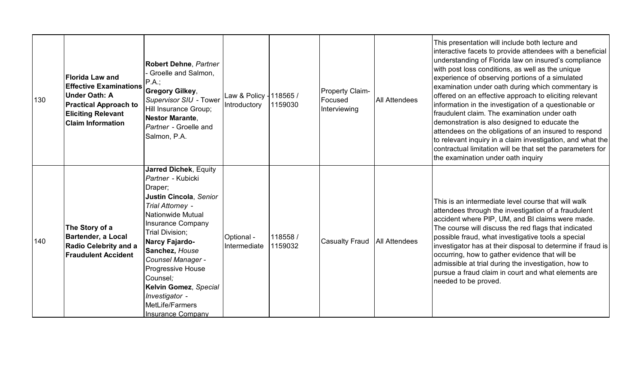| 130 | <b>Florida Law and</b><br><b>Effective Examinations</b><br>Under Oath: A<br><b>Practical Approach to</b><br><b>Eliciting Relevant</b><br><b>Claim Information</b> | Robert Dehne, Partner<br>Groelle and Salmon,<br>$PA.$ ;<br><b>Gregory Gilkey,</b><br>Supervisor SIU - Tower<br>Hill Insurance Group;<br><b>Nestor Marante,</b><br>Partner - Groelle and<br>Salmon, P.A.                                                                                                                                                                   | Law & Policy - 118565 /<br>Introductory | 1159030             | <b>Property Claim-</b><br>Focused<br>Interviewing | <b>All Attendees</b> | This presentation will include both lecture and<br>interactive facets to provide attendees with a beneficial<br>understanding of Florida law on insured's compliance<br>with post loss conditions, as well as the unique<br>experience of observing portions of a simulated<br>examination under oath during which commentary is<br>offered on an effective approach to eliciting relevant<br>information in the investigation of a questionable or<br>fraudulent claim. The examination under oath<br>demonstration is also designed to educate the<br>attendees on the obligations of an insured to respond<br>to relevant inquiry in a claim investigation, and what the<br>contractual limitation will be that set the parameters for<br>the examination under oath inquiry |
|-----|-------------------------------------------------------------------------------------------------------------------------------------------------------------------|---------------------------------------------------------------------------------------------------------------------------------------------------------------------------------------------------------------------------------------------------------------------------------------------------------------------------------------------------------------------------|-----------------------------------------|---------------------|---------------------------------------------------|----------------------|---------------------------------------------------------------------------------------------------------------------------------------------------------------------------------------------------------------------------------------------------------------------------------------------------------------------------------------------------------------------------------------------------------------------------------------------------------------------------------------------------------------------------------------------------------------------------------------------------------------------------------------------------------------------------------------------------------------------------------------------------------------------------------|
| 140 | The Story of a<br>Bartender, a Local<br>Radio Celebrity and a<br><b>Fraudulent Accident</b>                                                                       | <b>Jarred Dichek, Equity</b><br>Partner - Kubicki<br>Draper;<br>Justin Cincola, Senior<br>Trial Attorney -<br>Nationwide Mutual<br><b>Insurance Company</b><br>Trial Division;<br><b>Narcy Fajardo-</b><br>Sanchez, House<br>Counsel Manager -<br>Progressive House<br>Counsel:<br>Kelvin Gomez, Special<br>Investigator -<br>MetLife/Farmers<br><b>Insurance Company</b> | Optional -<br>Intermediate              | 118558 /<br>1159032 | <b>Casualty Fraud</b>                             | <b>All Attendees</b> | This is an intermediate level course that will walk<br>attendees through the investigation of a fraudulent<br>accident where PIP, UM, and BI claims were made.<br>The course will discuss the red flags that indicated<br>possible fraud, what investigative tools a special<br>investigator has at their disposal to determine if fraud is<br>occurring, how to gather evidence that will be<br>admissible at trial during the investigation, how to<br>pursue a fraud claim in court and what elements are<br>needed to be proved.                                                                                                                                                                                                                                            |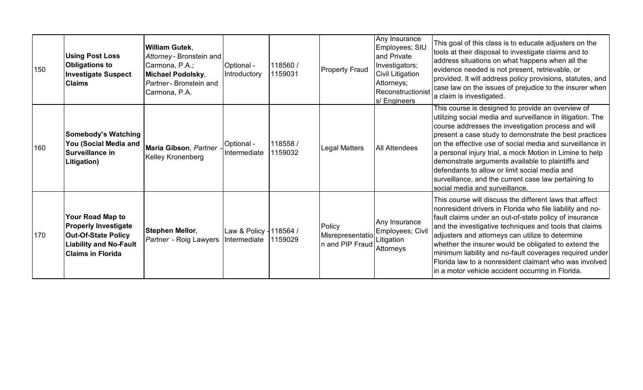| 150 | <b>Using Post Loss</b><br><b>Obligations to</b><br><b>Investigate Suspect</b><br><b>Claims</b>                                             | <b>William Gutek.</b><br>Attorney - Bronstein and<br>Carmona, P.A.;<br>Michael Podolsky,<br>Partner - Bronstein and<br>Carmona, P.A. | Optional -<br>Introductory              | 118560 /<br>1159031 | <b>Property Fraud</b>                         | Any Insurance<br>Employees; SIU<br>and Private<br>Investigators;<br>Civil Litigation<br>Attorneys;<br>Reconstructionist<br>s/ Engineers | This goal of this class is to educate adjusters on the<br>tools at their disposal to investigate claims and to<br>address situations on what happens when all the<br>evidence needed is not present, retrievable, or<br>provided. It will address policy provisions, statutes, and<br>case law on the issues of prejudice to the insurer when<br>a claim is investigated.                                                                                                                                                                                |
|-----|--------------------------------------------------------------------------------------------------------------------------------------------|--------------------------------------------------------------------------------------------------------------------------------------|-----------------------------------------|---------------------|-----------------------------------------------|-----------------------------------------------------------------------------------------------------------------------------------------|----------------------------------------------------------------------------------------------------------------------------------------------------------------------------------------------------------------------------------------------------------------------------------------------------------------------------------------------------------------------------------------------------------------------------------------------------------------------------------------------------------------------------------------------------------|
| 160 | <b>Somebody's Watching</b><br>You (Social Media and<br>Surveillance in<br>Litigation)                                                      | Maria Gibson, Partner<br>Kelley Kronenberg                                                                                           | Optional -<br>Intermediate              | 118558/<br>1159032  | Legal Matters                                 | <b>All Attendees</b>                                                                                                                    | This course is designed to provide an overview of<br>utilizing social media and surveillance in litigation. The<br>course addresses the investigation process and will<br>present a case study to demonstrate the best practices<br>on the effective use of social media and surveillance in<br>a personal injury trial, a mock Motion in Limine to help<br>demonstrate arguments available to plaintiffs and<br>defendants to allow or limit social media and<br>surveillance, and the current case law pertaining to<br>social media and surveillance. |
| 170 | Your Road Map to<br><b>Properly Investigate</b><br><b>Out-Of-State Policy</b><br><b>Liability and No-Fault</b><br><b>Claims in Florida</b> | <b>Stephen Mellor,</b><br>Partner - Roig Lawyers                                                                                     | Law & Policy - 118564 /<br>Intermediate | 1159029             | Policy<br>Misrepresentatio<br>n and PIP Fraud | Any Insurance<br>Employees; Civil<br>Litigation<br>Attorneys                                                                            | This course will discuss the different laws that affect<br>nonresident drivers in Florida who file liability and no-<br>fault claims under an out-of-state policy of insurance<br>and the investigative techniques and tools that claims<br>adjusters and attorneys can utilize to determine<br>whether the insurer would be obligated to extend the<br>minimum liability and no-fault coverages required under<br>Florida law to a nonresident claimant who was involved<br>in a motor vehicle accident occurring in Florida.                           |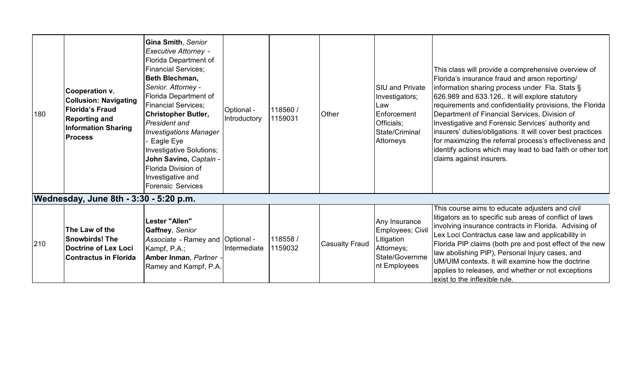| 180 | <b>Cooperation v.</b><br><b>Collusion: Navigating</b><br><b>Florida's Fraud</b><br><b>Reporting and</b><br><b>Information Sharing</b><br><b>Process</b> | Gina Smith, Senior<br><b>Executive Attorney -</b><br>Florida Department of<br><b>Financial Services;</b><br>Beth Blechman,<br>Senior. Attorney -<br>Florida Department of<br><b>Financial Services;</b><br><b>Christopher Butler,</b><br>President and<br><b>Investigations Manager</b><br>Eagle Eye<br>Investigative Solutions;<br>John Savino, Captain -<br>Florida Division of<br>Investigative and<br><b>Forensic Services</b> | Optional -<br>Introductory | 118560/<br>1159031  | Other                 | <b>SIU and Private</b><br>Investigators;<br>Law<br>Enforcement<br>Officials;<br>State/Criminal<br>Attorneys | This class will provide a comprehensive overview of<br>Florida's insurance fraud and arson reporting/<br>information sharing process under Fla. Stats §<br>626.989 and 633.126,. It will explore statutory<br>requirements and confidentiality provisions, the Florida<br>Department of Financial Services, Division of<br>Investigative and Forensic Services' authority and<br>insurers' duties/obligations. It will cover best practices<br>for maximizing the referral process's effectiveness and<br>identify actions which may lead to bad faith or other tort<br>claims against insurers. |
|-----|---------------------------------------------------------------------------------------------------------------------------------------------------------|------------------------------------------------------------------------------------------------------------------------------------------------------------------------------------------------------------------------------------------------------------------------------------------------------------------------------------------------------------------------------------------------------------------------------------|----------------------------|---------------------|-----------------------|-------------------------------------------------------------------------------------------------------------|--------------------------------------------------------------------------------------------------------------------------------------------------------------------------------------------------------------------------------------------------------------------------------------------------------------------------------------------------------------------------------------------------------------------------------------------------------------------------------------------------------------------------------------------------------------------------------------------------|
|     | Wednesday, June 8th - 3:30 - 5:20 p.m.                                                                                                                  |                                                                                                                                                                                                                                                                                                                                                                                                                                    |                            |                     |                       |                                                                                                             |                                                                                                                                                                                                                                                                                                                                                                                                                                                                                                                                                                                                  |
| 210 | The Law of the<br><b>Snowbirds! The</b><br>Doctrine of Lex Loci<br><b>Contractus in Florida</b>                                                         | Lester "Allen"<br>Gaffney, Senior<br>Associate - Ramey and Optional -<br>Kampf, P.A.;<br>Amber Inman, Partner -<br>Ramey and Kampf, P.A.                                                                                                                                                                                                                                                                                           | Intermediate               | 118558 /<br>1159032 | <b>Casualty Fraud</b> | Any Insurance<br>Employees; Civil<br>Litigation<br>Attorneys;<br>State/Governme<br>nt Employees             | This course aims to educate adjusters and civil<br>litigators as to specific sub areas of conflict of laws<br>involving insurance contracts in Florida. Advising of<br>Lex Loci Contractus case law and applicability in<br>Florida PIP claims (both pre and post effect of the new<br>law abolishing PIP), Personal Injury cases, and<br>UM/UIM contexts. It will examine how the doctrine<br>applies to releases, and whether or not exceptions<br>exist to the inflexible rule.                                                                                                               |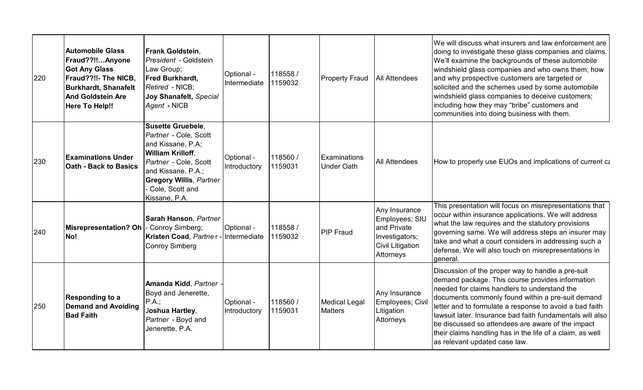| 220 | <b>Automobile Glass</b><br>Fraud??!!Anyone<br><b>Got Any Glass</b><br>Fraud??!!- The NICB,<br><b>Burkhardt, Shanafelt</b><br><b>And Goldstein Are</b><br><b>Here To Help!!</b> | <b>Frank Goldstein.</b><br>President - Goldstein<br>Law Group;<br>Fred Burkhardt,<br>Retired - NICB;<br>Joy Shanafelt, Special<br>Agent - NICB                                                                   | Optional -<br>Intermediate | 118558 /<br>1159032 | <b>Property Fraud</b>                    | <b>All Attendees</b>                                                                                     | We will discuss what insurers and law enforcement are<br>doing to investigate these glass companies and claims.<br>We'll examine the backgrounds of these automobile<br>windshield glass companies and who owns them; how<br>and why prospective customers are targeted or<br>solicited and the schemes used by some automobile<br>windshield glass companies to deceive customers;<br>including how they may "bribe" customers and<br>communities into doing business with them.     |
|-----|--------------------------------------------------------------------------------------------------------------------------------------------------------------------------------|------------------------------------------------------------------------------------------------------------------------------------------------------------------------------------------------------------------|----------------------------|---------------------|------------------------------------------|----------------------------------------------------------------------------------------------------------|---------------------------------------------------------------------------------------------------------------------------------------------------------------------------------------------------------------------------------------------------------------------------------------------------------------------------------------------------------------------------------------------------------------------------------------------------------------------------------------|
| 230 | <b>Examinations Under</b><br><b>Oath - Back to Basics</b>                                                                                                                      | <b>Susette Gruebele.</b><br>Partner - Cole, Scott<br>and Kissane, P.A;<br>William Krilloff,<br>Partner - Cole, Scott<br>and Kissane, P.A.;<br><b>Gregory Willis, Partner</b><br>Cole, Scott and<br>Kissane, P.A. | Optional -<br>Introductory | 118560 /<br>1159031 | <b>Examinations</b><br><b>Under Oath</b> | <b>All Attendees</b>                                                                                     | How to properly use EUOs and implications of current ca                                                                                                                                                                                                                                                                                                                                                                                                                               |
| 240 | Misrepresentation? Oh<br><b>No!</b>                                                                                                                                            | Sarah Hanson, Partner<br>- Conroy Simberg;<br>Kristen Coad, Partner -<br><b>Conroy Simberg</b>                                                                                                                   | Optional -<br>Intermediate | 118558 /<br>1159032 | <b>PIP Fraud</b>                         | Any Insurance<br>Employees; SIU<br>and Private<br>Investigators;<br><b>Civil Litigation</b><br>Attorneys | This presentation will focus on misrepresentations that<br>occur within insurance applications. We will address<br>what the law requires and the statutory provisions<br>governing same. We will address steps an insurer may<br>take and what a court considers in addressing such a<br>defense. We will also touch on misrepresentations in<br>deneral.                                                                                                                             |
| 250 | <b>Responding to a</b><br>Demand and Avoiding<br><b>Bad Faith</b>                                                                                                              | Amanda Kidd, Partner<br>Boyd and Jenerette,<br>P.A.<br>Joshua Hartley,<br>Partner - Boyd and<br>Jenerette, P.A.                                                                                                  | Optional -<br>Introductory | 118560 /<br>1159031 | <b>Medical Legal</b><br><b>Matters</b>   | Any Insurance<br>Employees; Civil<br>Litigation<br>Attorneys                                             | Discussion of the proper way to handle a pre-suit<br>demand package. This course provides information<br>needed for claims handlers to understand the<br>documents commonly found within a pre-suit demand<br>letter and to formulate a response to avoid a bad faith<br>lawsuit later. Insurance bad faith fundamentals will also<br>be discussed so attendees are aware of the impact<br>their claims handling has in the life of a claim, as well<br>as relevant updated case law. |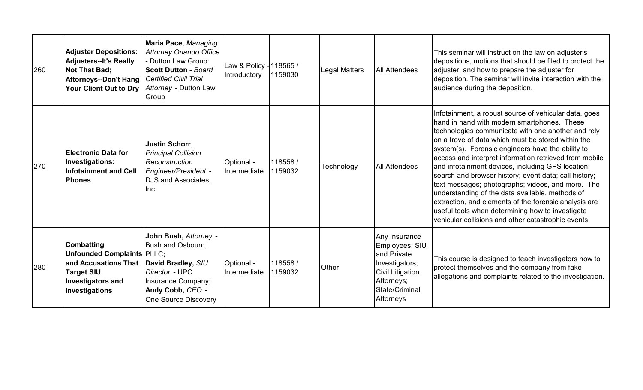| 260 | <b>Adjuster Depositions:</b><br><b>Adjusters--It's Really</b><br><b>Not That Bad;</b><br><b>Attorneys--Don't Hang</b><br>Your Client Out to Dry   | Maria Pace, Managing<br><b>Attorney Orlando Office</b><br>- Dutton Law Group:<br><b>Scott Dutton - Board</b><br><b>Certified Civil Trial</b><br>Attorney - Dutton Law<br>Group | Law & Policy - 118565 /<br>Introductory | 1159030            | <b>Legal Matters</b> | <b>All Attendees</b>                                                                                                                     | This seminar will instruct on the law on adjuster's<br>depositions, motions that should be filed to protect the<br>adjuster, and how to prepare the adjuster for<br>deposition. The seminar will invite interaction with the<br>audience during the deposition.                                                                                                                                                                                                                                                                                                                                                                                                                                                           |
|-----|---------------------------------------------------------------------------------------------------------------------------------------------------|--------------------------------------------------------------------------------------------------------------------------------------------------------------------------------|-----------------------------------------|--------------------|----------------------|------------------------------------------------------------------------------------------------------------------------------------------|---------------------------------------------------------------------------------------------------------------------------------------------------------------------------------------------------------------------------------------------------------------------------------------------------------------------------------------------------------------------------------------------------------------------------------------------------------------------------------------------------------------------------------------------------------------------------------------------------------------------------------------------------------------------------------------------------------------------------|
| 270 | Electronic Data for<br>Investigations:<br><b>Infotainment and Cell</b><br><b>Phones</b>                                                           | <b>Justin Schorr,</b><br><b>Principal Collision</b><br>Reconstruction<br>Engineer/President -<br>DJS and Associates,<br>Inc.                                                   | Optional -<br>Intermediate              | 118558/<br>1159032 | Technology           | <b>All Attendees</b>                                                                                                                     | Infotainment, a robust source of vehicular data, goes<br>hand in hand with modern smartphones. These<br>technologies communicate with one another and rely<br>on a trove of data which must be stored within the<br>system(s). Forensic engineers have the ability to<br>access and interpret information retrieved from mobile<br>and infotainment devices, including GPS location;<br>search and browser history; event data; call history;<br>text messages; photographs; videos, and more. The<br>understanding of the data available, methods of<br>extraction, and elements of the forensic analysis are<br>useful tools when determining how to investigate<br>vehicular collisions and other catastrophic events. |
| 280 | <b>Combatting</b><br><b>Unfounded Complaints PLLC:</b><br>and Accusations That<br><b>Target SIU</b><br><b>Investigators and</b><br>Investigations | John Bush, Attorney -<br>Bush and Osbourn,<br>David Bradley, SIU<br>Director - UPC<br>Insurance Company;<br>Andy Cobb, CEO -<br><b>One Source Discovery</b>                    | Optional -<br>Intermediate              | 118558/<br>1159032 | Other                | Any Insurance<br>Employees; SIU<br>and Private<br>Investigators;<br><b>Civil Litigation</b><br>Attorneys;<br>State/Criminal<br>Attorneys | This course is designed to teach investigators how to<br>protect themselves and the company from fake<br>allegations and complaints related to the investigation.                                                                                                                                                                                                                                                                                                                                                                                                                                                                                                                                                         |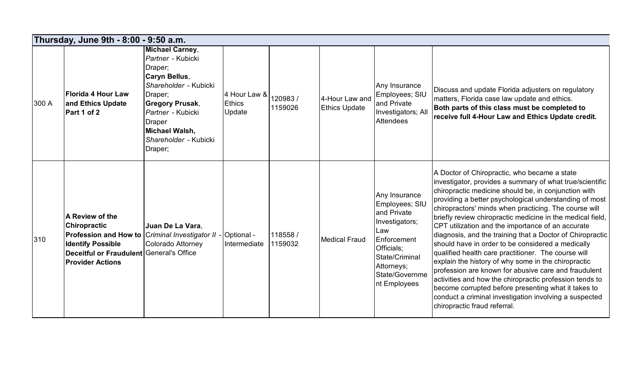| Thursday, June 9th - 8:00 - 9:50 a.m. |                                                                                                                                                                                             |                                                                                                                                                                                                                                   |                                                |                    |                                        |                                                                                                                                                                        |                                                                                                                                                                                                                                                                                                                                                                                                                                                                                                                                                                                                                                                                                                                                                                                                                                                                                                            |  |  |
|---------------------------------------|---------------------------------------------------------------------------------------------------------------------------------------------------------------------------------------------|-----------------------------------------------------------------------------------------------------------------------------------------------------------------------------------------------------------------------------------|------------------------------------------------|--------------------|----------------------------------------|------------------------------------------------------------------------------------------------------------------------------------------------------------------------|------------------------------------------------------------------------------------------------------------------------------------------------------------------------------------------------------------------------------------------------------------------------------------------------------------------------------------------------------------------------------------------------------------------------------------------------------------------------------------------------------------------------------------------------------------------------------------------------------------------------------------------------------------------------------------------------------------------------------------------------------------------------------------------------------------------------------------------------------------------------------------------------------------|--|--|
| 300 A                                 | <b>Florida 4 Hour Law</b><br>and Ethics Update<br>Part 1 of 2                                                                                                                               | <b>Michael Carney,</b><br>Partner - Kubicki<br>Draper;<br>Caryn Bellus,<br>Shareholder - Kubicki<br>Draper;<br><b>Gregory Prusak,</b><br>Partner - Kubicki<br><b>Draper</b><br>Michael Walsh,<br>Shareholder - Kubicki<br>Draper; | 4 Hour Law &<br><b>Ethics</b><br><b>Update</b> | 120983/<br>1159026 | 4-Hour Law and<br><b>Ethics Update</b> | Any Insurance<br>Employees; SIU<br>and Private<br>Investigators; All<br>Attendees                                                                                      | Discuss and update Florida adjusters on regulatory<br>matters, Florida case law update and ethics.<br>Both parts of this class must be completed to<br>receive full 4-Hour Law and Ethics Update credit.                                                                                                                                                                                                                                                                                                                                                                                                                                                                                                                                                                                                                                                                                                   |  |  |
| 310                                   | A Review of the<br><b>Chiropractic</b><br>Profession and How to Criminal Investigator II<br><b>Identify Possible</b><br>Deceitful or Fraudulent General's Office<br><b>Provider Actions</b> | Juan De La Vara,<br>Colorado Attorney                                                                                                                                                                                             | Optional -<br>Intermediate                     | 118558/<br>1159032 | <b>Medical Fraud</b>                   | Any Insurance<br>Employees; SIU<br>and Private<br>Investigators;<br>Law<br>Enforcement<br>Officials;<br>State/Criminal<br>Attorneys;<br>State/Governme<br>nt Employees | A Doctor of Chiropractic, who became a state<br>investigator, provides a summary of what true/scientific<br>chiropractic medicine should be, in conjunction with<br>providing a better psychological understanding of most<br>chiropractors' minds when practicing. The course will<br>briefly review chiropractic medicine in the medical field,<br>CPT utilization and the importance of an accurate<br>diagnosis, and the training that a Doctor of Chiropractic<br>should have in order to be considered a medically<br>qualified health care practitioner. The course will<br>explain the history of why some in the chiropractic<br>profession are known for abusive care and fraudulent<br>activities and how the chiropractic profession tends to<br>become corrupted before presenting what it takes to<br>conduct a criminal investigation involving a suspected<br>chiropractic fraud referral. |  |  |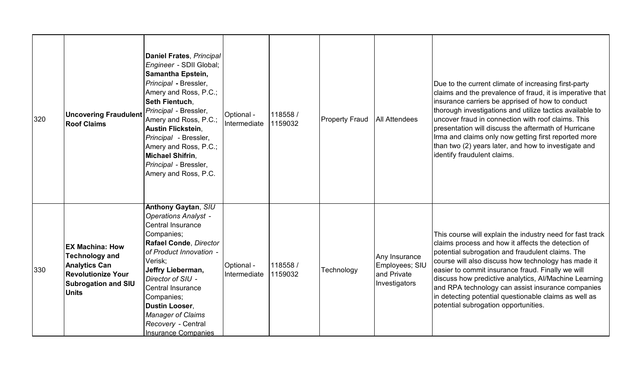| 320 | <b>Uncovering Fraudulent</b><br><b>Roof Claims</b>                                                                                                 | Daniel Frates, Principal<br>Engineer - SDII Global;<br><b>Samantha Epstein,</b><br>Principal - Bressler,<br>Amery and Ross, P.C.;<br>Seth Fientuch,<br>Principal - Bressler,<br>Amery and Ross, P.C.;<br><b>Austin Flickstein,</b><br>Principal - Bressler,<br>Amery and Ross, P.C.;<br><b>Michael Shifrin,</b><br>Principal - Bressler,<br>Amery and Ross, P.C. | Optional -<br>Intermediate | 118558/<br>1159032 | <b>Property Fraud</b> | <b>All Attendees</b>                                            | Due to the current climate of increasing first-party<br>claims and the prevalence of fraud, it is imperative that<br>insurance carriers be apprised of how to conduct<br>thorough investigations and utilize tactics available to<br>uncover fraud in connection with roof claims. This<br>presentation will discuss the aftermath of Hurricane<br>Irma and claims only now getting first reported more<br>than two (2) years later, and how to investigate and<br>identify fraudulent claims. |
|-----|----------------------------------------------------------------------------------------------------------------------------------------------------|------------------------------------------------------------------------------------------------------------------------------------------------------------------------------------------------------------------------------------------------------------------------------------------------------------------------------------------------------------------|----------------------------|--------------------|-----------------------|-----------------------------------------------------------------|------------------------------------------------------------------------------------------------------------------------------------------------------------------------------------------------------------------------------------------------------------------------------------------------------------------------------------------------------------------------------------------------------------------------------------------------------------------------------------------------|
| 330 | <b>EX Machina: How</b><br><b>Technology and</b><br><b>Analytics Can</b><br><b>Revolutionize Your</b><br><b>Subrogation and SIU</b><br><b>Units</b> | <b>Anthony Gaytan, SIU</b><br><b>Operations Analyst -</b><br><b>Central Insurance</b><br>Companies;<br>Rafael Conde, Director<br>of Product Innovation -<br>Verisk;<br>Jeffry Lieberman,<br>Director of SIU -<br><b>Central Insurance</b><br>Companies;<br><b>Dustin Looser,</b><br><b>Manager of Claims</b><br>Recovery - Central<br><b>Insurance Companies</b> | Optional -<br>Intermediate | 118558/<br>1159032 | Technology            | Any Insurance<br>Employees; SIU<br>and Private<br>Investigators | This course will explain the industry need for fast track<br>claims process and how it affects the detection of<br>potential subrogation and fraudulent claims. The<br>course will also discuss how technology has made it<br>easier to commit insurance fraud. Finally we will<br>discuss how predictive analytics, Al/Machine Learning<br>and RPA technology can assist insurance companies<br>in detecting potential questionable claims as well as<br>potential subrogation opportunities. |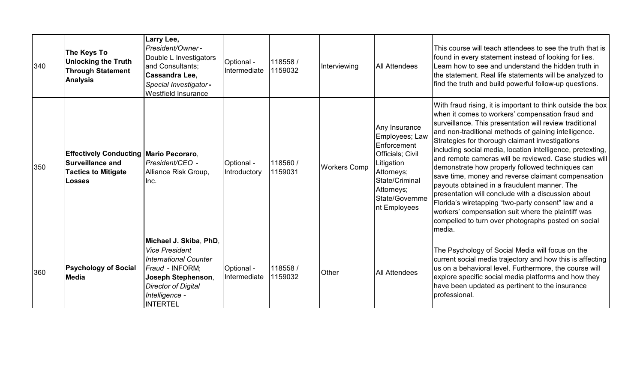| 340 | <b>The Keys To</b><br><b>Unlocking the Truth</b><br><b>Through Statement</b><br><b>Analysis</b>                  | Larry Lee,<br>President/Owner-<br>Double L Investigators<br>and Consultants;<br>Cassandra Lee,<br>Special Investigator-<br>Westfield Insurance                                              | Optional -<br>Intermediate | 118558/<br>1159032 | Interviewing        | <b>All Attendees</b>                                                                                                                                             | This course will teach attendees to see the truth that is<br>found in every statement instead of looking for lies.<br>Learn how to see and understand the hidden truth in<br>the statement. Real life statements will be analyzed to<br>find the truth and build powerful follow-up questions.                                                                                                                                                                                                                                                                                                                                                                                                                                                                                                               |
|-----|------------------------------------------------------------------------------------------------------------------|---------------------------------------------------------------------------------------------------------------------------------------------------------------------------------------------|----------------------------|--------------------|---------------------|------------------------------------------------------------------------------------------------------------------------------------------------------------------|--------------------------------------------------------------------------------------------------------------------------------------------------------------------------------------------------------------------------------------------------------------------------------------------------------------------------------------------------------------------------------------------------------------------------------------------------------------------------------------------------------------------------------------------------------------------------------------------------------------------------------------------------------------------------------------------------------------------------------------------------------------------------------------------------------------|
| 350 | <b>Effectively Conducting Mario Pecoraro.</b><br><b>Surveillance and</b><br><b>Tactics to Mitigate</b><br>Losses | President/CEO -<br>Alliance Risk Group,<br>Inc.                                                                                                                                             | Optional -<br>Introductory | 118560/<br>1159031 | <b>Workers Comp</b> | Any Insurance<br>Employees; Law<br>Enforcement<br>Officials; Civil<br>Litigation<br>Attorneys;<br>State/Criminal<br>Attorneys;<br>State/Governme<br>nt Employees | With fraud rising, it is important to think outside the box<br>when it comes to workers' compensation fraud and<br>surveillance. This presentation will review traditional<br>and non-traditional methods of gaining intelligence.<br>Strategies for thorough claimant investigations<br>including social media, location intelligence, pretexting,<br>Iand remote cameras will be reviewed. Case studies will<br>demonstrate how properly followed techniques can<br>save time, money and reverse claimant compensation<br>payouts obtained in a fraudulent manner. The<br>presentation will conclude with a discussion about<br>Florida's wiretapping "two-party consent" law and a<br>workers' compensation suit where the plaintiff was<br>compelled to turn over photographs posted on social<br>media. |
| 360 | <b>Psychology of Social</b><br><b>Media</b>                                                                      | Michael J. Skiba, PhD,<br><b>Vice President</b><br><b>International Counter</b><br>Fraud - INFORM;<br>Joseph Stephenson,<br><b>Director of Digital</b><br>Intelligence -<br><b>INTERTEL</b> | Optional -<br>Intermediate | 118558/<br>1159032 | Other               | <b>All Attendees</b>                                                                                                                                             | The Psychology of Social Media will focus on the<br>current social media trajectory and how this is affecting<br>us on a behavioral level. Furthermore, the course will<br>explore specific social media platforms and how they<br>have been updated as pertinent to the insurance<br>professional.                                                                                                                                                                                                                                                                                                                                                                                                                                                                                                          |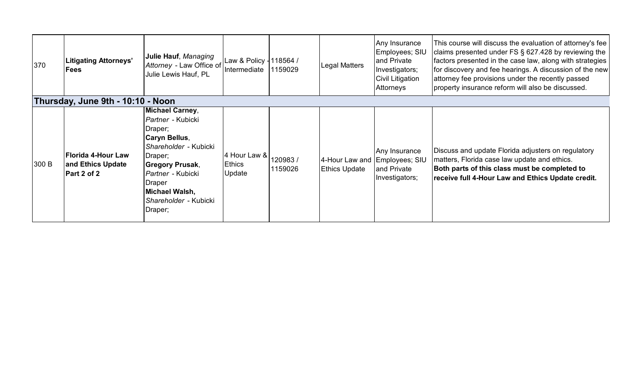| 370   | <b>Litigating Attorneys'</b><br>Fees                   | Julie Hauf, Managing<br>Attorney - Law Office of Intermediate<br>Julie Lewis Hauf, PL                                                                                                                                             | Law & Policy - 118564 /                 | 1159029            | <b>Legal Matters</b>                                  | Any Insurance<br>Employees; SIU<br>and Private<br>Investigators;<br><b>Civil Litigation</b><br>Attorneys | This course will discuss the evaluation of attorney's fee<br>claims presented under FS § 627.428 by reviewing the<br>factors presented in the case law, along with strategies<br>for discovery and fee hearings. A discussion of the new<br>attorney fee provisions under the recently passed<br>property insurance reform will also be discussed. |
|-------|--------------------------------------------------------|-----------------------------------------------------------------------------------------------------------------------------------------------------------------------------------------------------------------------------------|-----------------------------------------|--------------------|-------------------------------------------------------|----------------------------------------------------------------------------------------------------------|----------------------------------------------------------------------------------------------------------------------------------------------------------------------------------------------------------------------------------------------------------------------------------------------------------------------------------------------------|
|       | Thursday, June 9th - 10:10 - Noon                      |                                                                                                                                                                                                                                   |                                         |                    |                                                       |                                                                                                          |                                                                                                                                                                                                                                                                                                                                                    |
| 300 B | Florida 4-Hour Law<br>and Ethics Update<br>Part 2 of 2 | <b>Michael Carney,</b><br><i>Partner</i> - Kubicki<br>Draper;<br>Caryn Bellus,<br>Shareholder - Kubicki<br>Draper;<br>Gregory Prusak,<br><i>Partner -</i> Kubicki<br>Draper<br>Michael Walsh,<br>Shareholder - Kubicki<br>Draper; | 4 Hour Law &<br><b>Ethics</b><br>Update | 120983/<br>1159026 | 4-Hour Law and Employees; SIU<br><b>Ethics Update</b> | Any Insurance<br>and Private<br>Investigators;                                                           | Discuss and update Florida adjusters on regulatory<br>matters, Florida case law update and ethics.<br>Both parts of this class must be completed to<br>receive full 4-Hour Law and Ethics Update credit.                                                                                                                                           |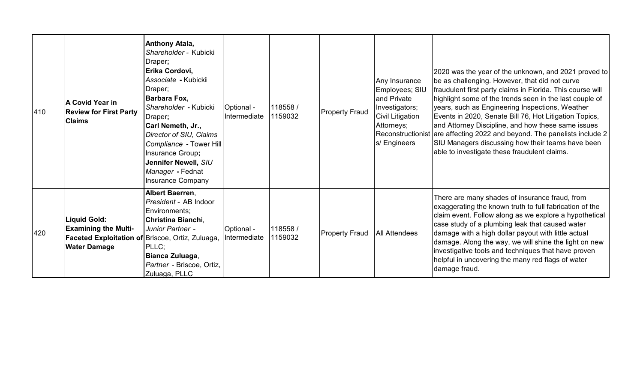| 410 | <b>A Covid Year in</b><br><b>Review for First Party</b><br><b>Claims</b>                                                      | Anthony Atala,<br>Shareholder - Kubicki<br>Draper;<br><b>Erika Cordovi,</b><br>Associate - Kubicki<br>Draper;<br>Barbara Fox,<br>Shareholder - Kubicki<br>Draper;<br>Carl Nemeth, Jr.,<br>Director of SIU, Claims<br>Compliance - Tower Hill<br>Insurance Group;<br>Jennifer Newell, SIU<br>Manager - Fednat<br><b>Insurance Company</b> | Optional -<br>Intermediate | 118558 /<br>1159032 | <b>Property Fraud</b> | Any Insurance<br>Employees; SIU<br>and Private<br>Investigators;<br><b>Civil Litigation</b><br>Attorneys;<br>Reconstructionist<br>s/ Engineers | 2020 was the year of the unknown, and 2021 proved to<br>be as challenging. However, that did not curve<br>fraudulent first party claims in Florida. This course will<br>highlight some of the trends seen in the last couple of<br>years, such as Engineering Inspections, Weather<br>Events in 2020, Senate Bill 76, Hot Litigation Topics,<br>and Attorney Discipline, and how these same issues<br>are affecting 2022 and beyond. The panelists include 2<br>SIU Managers discussing how their teams have been<br>able to investigate these fraudulent claims. |
|-----|-------------------------------------------------------------------------------------------------------------------------------|------------------------------------------------------------------------------------------------------------------------------------------------------------------------------------------------------------------------------------------------------------------------------------------------------------------------------------------|----------------------------|---------------------|-----------------------|------------------------------------------------------------------------------------------------------------------------------------------------|-------------------------------------------------------------------------------------------------------------------------------------------------------------------------------------------------------------------------------------------------------------------------------------------------------------------------------------------------------------------------------------------------------------------------------------------------------------------------------------------------------------------------------------------------------------------|
| 420 | <b>Liquid Gold:</b><br><b>Examining the Multi-</b><br>Faceted Exploitation of Briscoe, Ortiz, Zuluaga,<br><b>Water Damage</b> | Albert Baerren,<br>President - AB Indoor<br>Environments;<br>Christina Bianchi,<br>Junior Partner -<br>PLLC;<br>Bianca Zuluaga,<br>Partner - Briscoe, Ortiz,<br>Zuluaga, PLLC                                                                                                                                                            | Optional -<br>Intermediate | 118558 /<br>1159032 | <b>Property Fraud</b> | <b>All Attendees</b>                                                                                                                           | There are many shades of insurance fraud, from<br>exaggerating the known truth to full fabrication of the<br>claim event. Follow along as we explore a hypothetical<br>case study of a plumbing leak that caused water<br>damage with a high dollar payout with little actual<br>damage. Along the way, we will shine the light on new<br>investigative tools and techniques that have proven<br>helpful in uncovering the many red flags of water<br>damage fraud.                                                                                               |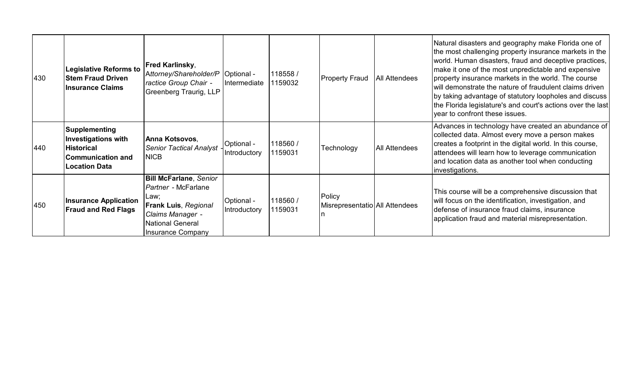| 430 | Legislative Reforms to<br><b>Stem Fraud Driven</b><br><b>Insurance Claims</b>                                 | Fred Karlinsky,<br>Attorney/Shareholder/P   Optional -<br>ractice Group Chair -<br>Greenberg Traurig, LLP                                                | Intermediate               | 118558 /<br>1159032 | <b>Property Fraud</b>                    | <b>All Attendees</b> | Natural disasters and geography make Florida one of<br>the most challenging property insurance markets in the<br>world. Human disasters, fraud and deceptive practices,<br>make it one of the most unpredictable and expensive<br>property insurance markets in the world. The course<br>will demonstrate the nature of fraudulent claims driven<br>by taking advantage of statutory loopholes and discuss<br>the Florida legislature's and court's actions over the last<br>year to confront these issues. |
|-----|---------------------------------------------------------------------------------------------------------------|----------------------------------------------------------------------------------------------------------------------------------------------------------|----------------------------|---------------------|------------------------------------------|----------------------|-------------------------------------------------------------------------------------------------------------------------------------------------------------------------------------------------------------------------------------------------------------------------------------------------------------------------------------------------------------------------------------------------------------------------------------------------------------------------------------------------------------|
| 440 | Supplementing<br>Investigations with<br><b>Historical</b><br><b>Communication and</b><br><b>Location Data</b> | Anna Kotsovos,<br><b>Senior Tactical Analyst</b><br><b>NICB</b>                                                                                          | Optional -<br>Introductory | 118560 /<br>1159031 | Technology                               | <b>All Attendees</b> | Advances in technology have created an abundance of<br>collected data. Almost every move a person makes<br>creates a footprint in the digital world. In this course,<br>attendees will learn how to leverage communication<br>and location data as another tool when conducting<br>investigations.                                                                                                                                                                                                          |
| 450 | <b>Insurance Application</b><br><b>Fraud and Red Flags</b>                                                    | <b>Bill McFarlane, Senior</b><br>Partner - McFarlane<br>Law;<br>Frank Luis, Regional<br>Claims Manager -<br><b>National General</b><br>Insurance Company | Optional -<br>Introductory | 118560 /<br>1159031 | Policy<br>Misrepresentatio All Attendees |                      | This course will be a comprehensive discussion that<br>will focus on the identification, investigation, and<br>defense of insurance fraud claims, insurance<br>application fraud and material misrepresentation.                                                                                                                                                                                                                                                                                            |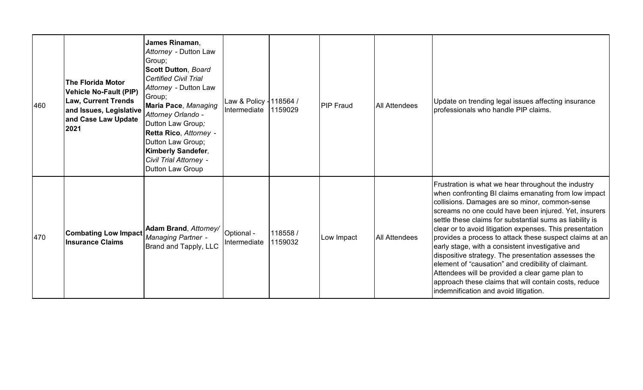| 460 | <b>The Florida Motor</b><br><b>Vehicle No-Fault (PIP)</b><br><b>Law, Current Trends</b><br>and Issues, Legislative<br>and Case Law Update<br>2021 | James Rinaman,<br>Attorney - Dutton Law<br>Group;<br><b>Scott Dutton, Board</b><br><b>Certified Civil Trial</b><br>Attorney - Dutton Law<br>Group;<br>Maria Pace, Managing<br>Attorney Orlando -<br>Dutton Law Group;<br>Retta Rico, Attorney -<br>Dutton Law Group;<br>Kimberly Sandefer,<br>Civil Trial Attorney -<br>Dutton Law Group | Law & Policy - 118564 /<br>Intermediate | 1159029             | <b>PIP Fraud</b> | <b>All Attendees</b> | Update on trending legal issues affecting insurance<br>professionals who handle PIP claims.                                                                                                                                                                                                                                                                                                                                                                                                                                                                                                                                                                                                                                      |
|-----|---------------------------------------------------------------------------------------------------------------------------------------------------|------------------------------------------------------------------------------------------------------------------------------------------------------------------------------------------------------------------------------------------------------------------------------------------------------------------------------------------|-----------------------------------------|---------------------|------------------|----------------------|----------------------------------------------------------------------------------------------------------------------------------------------------------------------------------------------------------------------------------------------------------------------------------------------------------------------------------------------------------------------------------------------------------------------------------------------------------------------------------------------------------------------------------------------------------------------------------------------------------------------------------------------------------------------------------------------------------------------------------|
| 470 | <b>Combating Low Impact</b><br><b>Insurance Claims</b>                                                                                            | Adam Brand, Attorney/<br><b>Managing Partner -</b><br><b>Brand and Tapply, LLC</b>                                                                                                                                                                                                                                                       | Optional -<br>Intermediate              | 118558 /<br>1159032 | Low Impact       | <b>All Attendees</b> | Frustration is what we hear throughout the industry<br>when confronting BI claims emanating from low impact<br>collisions. Damages are so minor, common-sense<br>screams no one could have been injured. Yet, insurers<br>settle these claims for substantial sums as liability is<br>clear or to avoid litigation expenses. This presentation<br>provides a process to attack these suspect claims at an<br>early stage, with a consistent investigative and<br>dispositive strategy. The presentation assesses the<br>element of "causation" and credibility of claimant.<br>Attendees will be provided a clear game plan to<br>approach these claims that will contain costs, reduce<br>indemnification and avoid litigation. |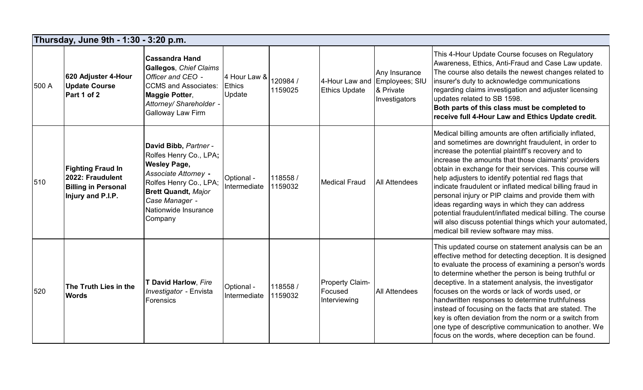|       | Thursday, June 9th - 1:30 - 3:20 p.m.                                                           |                                                                                                                                                                                                             |                                         |                     |                                                   |                                                               |                                                                                                                                                                                                                                                                                                                                                                                                                                                                                                                                                                                                                                                                                         |  |  |  |  |
|-------|-------------------------------------------------------------------------------------------------|-------------------------------------------------------------------------------------------------------------------------------------------------------------------------------------------------------------|-----------------------------------------|---------------------|---------------------------------------------------|---------------------------------------------------------------|-----------------------------------------------------------------------------------------------------------------------------------------------------------------------------------------------------------------------------------------------------------------------------------------------------------------------------------------------------------------------------------------------------------------------------------------------------------------------------------------------------------------------------------------------------------------------------------------------------------------------------------------------------------------------------------------|--|--|--|--|
| 500 A | 620 Adjuster 4-Hour<br><b>Update Course</b><br>Part 1 of 2                                      | <b>Cassandra Hand</b><br>Gallegos, Chief Claims<br>Officer and CEO -<br><b>CCMS</b> and Associates:<br>Maggie Potter,<br>Attorney/ Shareholder -<br><b>Galloway Law Firm</b>                                | 4 Hour Law &<br><b>Ethics</b><br>Update | 120984 /<br>1159025 | 4-Hour Law and<br><b>Ethics Update</b>            | Any Insurance<br>Employees; SIU<br>& Private<br>Investigators | This 4-Hour Update Course focuses on Regulatory<br>Awareness, Ethics, Anti-Fraud and Case Law update.<br>The course also details the newest changes related to<br>insurer's duty to acknowledge communications<br>regarding claims investigation and adjuster licensing<br>updates related to SB 1598.<br>Both parts of this class must be completed to<br>receive full 4-Hour Law and Ethics Update credit.                                                                                                                                                                                                                                                                            |  |  |  |  |
| 510   | <b>Fighting Fraud In</b><br>2022: Fraudulent<br><b>Billing in Personal</b><br>Injury and P.I.P. | David Bibb, Partner -<br>Rolfes Henry Co., LPA;<br><b>Wesley Page,</b><br>Associate Attorney -<br>Rolfes Henry Co., LPA;<br><b>Brett Quandt, Major</b><br>Case Manager -<br>Nationwide Insurance<br>Company | Optional -<br>Intermediate              | 118558 /<br>1159032 | <b>Medical Fraud</b>                              | <b>All Attendees</b>                                          | Medical billing amounts are often artificially inflated,<br>and sometimes are downright fraudulent, in order to<br>increase the potential plaintiff's recovery and to<br>increase the amounts that those claimants' providers<br>obtain in exchange for their services. This course will<br>help adjusters to identify potential red flags that<br>indicate fraudulent or inflated medical billing fraud in<br>personal injury or PIP claims and provide them with<br>ideas regarding ways in which they can address<br>potential fraudulent/inflated medical billing. The course<br>will also discuss potential things which your automated,<br>medical bill review software may miss. |  |  |  |  |
| 520   | <b>The Truth Lies in the</b><br><b>Words</b>                                                    | T David Harlow, Fire<br>Investigator - Envista<br>Forensics                                                                                                                                                 | Optional -<br>Intermediate              | 118558 /<br>1159032 | <b>Property Claim-</b><br>Focused<br>Interviewing | <b>All Attendees</b>                                          | This updated course on statement analysis can be an<br>effective method for detecting deception. It is designed<br>to evaluate the process of examining a person's words<br>to determine whether the person is being truthful or<br>deceptive. In a statement analysis, the investigator<br>focuses on the words or lack of words used, or<br>handwritten responses to determine truthfulness<br>instead of focusing on the facts that are stated. The<br>key is often deviation from the norm or a switch from<br>one type of descriptive communication to another. We<br>focus on the words, where deception can be found.                                                            |  |  |  |  |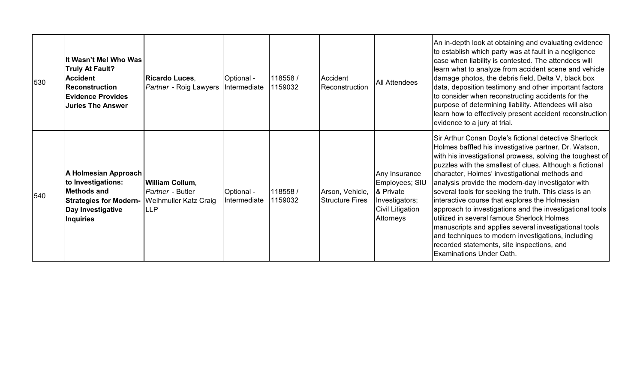| 530 | It Wasn't Me! Who Was<br><b>Truly At Fault?</b><br><b>Accident</b><br>Reconstruction<br><b>Evidence Provides</b><br><b>Juries The Answer</b> | <b>Ricardo Luces.</b><br><i>Partner - Roig Lawyers</i>                                   | Optional -<br>Intermediate | 118558 /<br>1159032 | Accident<br>Reconstruction                | <b>All Attendees</b>                                                                            | An in-depth look at obtaining and evaluating evidence<br>to establish which party was at fault in a negligence<br>case when liability is contested. The attendees will<br>learn what to analyze from accident scene and vehicle<br>damage photos, the debris field, Delta V, black box<br>data, deposition testimony and other important factors<br>to consider when reconstructing accidents for the<br>purpose of determining liability. Attendees will also<br>learn how to effectively present accident reconstruction<br>evidence to a jury at trial.                                                                                                                                                                                                          |
|-----|----------------------------------------------------------------------------------------------------------------------------------------------|------------------------------------------------------------------------------------------|----------------------------|---------------------|-------------------------------------------|-------------------------------------------------------------------------------------------------|---------------------------------------------------------------------------------------------------------------------------------------------------------------------------------------------------------------------------------------------------------------------------------------------------------------------------------------------------------------------------------------------------------------------------------------------------------------------------------------------------------------------------------------------------------------------------------------------------------------------------------------------------------------------------------------------------------------------------------------------------------------------|
| 540 | A Holmesian Approach<br>to Investigations:<br>Methods and<br><b>Strategies for Modern-</b><br>Day Investigative<br>Inquiries                 | <b>William Collum,</b><br>Partner - Butler<br><b>Weihmuller Katz Craig</b><br><b>LLP</b> | Optional -<br>Intermediate | 118558 /<br>1159032 | Arson, Vehicle,<br><b>Structure Fires</b> | Any Insurance<br>Employees; SIU<br>& Private<br>Investigators;<br>Civil Litigation<br>Attorneys | Sir Arthur Conan Doyle's fictional detective Sherlock<br>Holmes baffled his investigative partner, Dr. Watson,<br>with his investigational prowess, solving the toughest of<br>puzzles with the smallest of clues. Although a fictional<br>character, Holmes' investigational methods and<br>analysis provide the modern-day investigator with<br>several tools for seeking the truth. This class is an<br>interactive course that explores the Holmesian<br>approach to investigations and the investigational tools<br>utilized in several famous Sherlock Holmes<br>manuscripts and applies several investigational tools<br>and techniques to modern investigations, including<br>recorded statements, site inspections, and<br><b>Examinations Under Oath.</b> |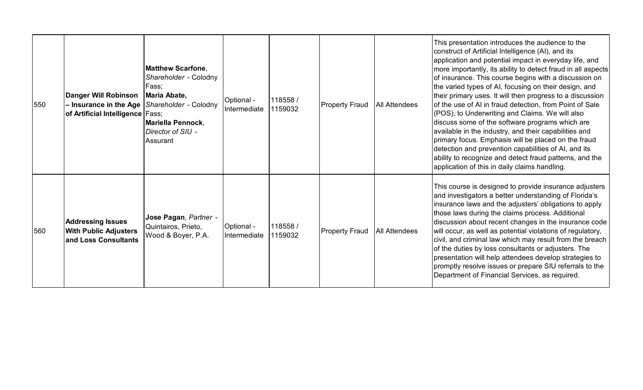| 550 | Danger Will Robinson<br>- Insurance in the Age<br>of Artificial Intelligence Fass; | <b>Matthew Scarfone,</b><br>Shareholder - Colodny<br>Fass;<br>Maria Abate,<br>Shareholder - Colodny<br>Mariella Pennock,<br>Director of SIU -<br>Assurant | Optional -<br>Intermediate | 118558/<br>1159032 | <b>Property Fraud</b> | <b>All Attendees</b> | This presentation introduces the audience to the<br>construct of Artificial Intelligence (AI), and its<br>application and potential impact in everyday life, and<br>more importantly, its ability to detect fraud in all aspects<br>of insurance. This course begins with a discussion on<br>the varied types of AI, focusing on their design, and<br>their primary uses. It will then progress to a discussion<br>of the use of AI in fraud detection, from Point of Sale<br>(POS), to Underwriting and Claims. We will also<br>discuss some of the software programs which are<br>available in the industry, and their capabilities and<br>primary focus. Emphasis will be placed on the fraud<br>detection and prevention capabilities of AI, and its<br>ability to recognize and detect fraud patterns, and the<br>application of this in daily claims handling. |
|-----|------------------------------------------------------------------------------------|-----------------------------------------------------------------------------------------------------------------------------------------------------------|----------------------------|--------------------|-----------------------|----------------------|----------------------------------------------------------------------------------------------------------------------------------------------------------------------------------------------------------------------------------------------------------------------------------------------------------------------------------------------------------------------------------------------------------------------------------------------------------------------------------------------------------------------------------------------------------------------------------------------------------------------------------------------------------------------------------------------------------------------------------------------------------------------------------------------------------------------------------------------------------------------|
| 560 | <b>Addressing Issues</b><br><b>With Public Adjusters</b><br>and Loss Consultants   | Jose Pagan, Partner -<br>Quintairos, Prieto,<br>Wood & Boyer, P.A.                                                                                        | Optional -<br>Intermediate | 118558/<br>1159032 | <b>Property Fraud</b> | <b>All Attendees</b> | This course is designed to provide insurance adjusters<br>and investigators a better understanding of Florida's<br>insurance laws and the adjusters' obligations to apply<br>those laws during the claims process. Additional<br>discussion about recent changes in the insurance code<br>will occur, as well as potential violations of regulatory,<br>civil, and criminal law which may result from the breach<br>of the duties by loss consultants or adjusters. The<br>presentation will help attendees develop strategies to<br>promptly resolve issues or prepare SIU referrals to the<br>Department of Financial Services, as required.                                                                                                                                                                                                                       |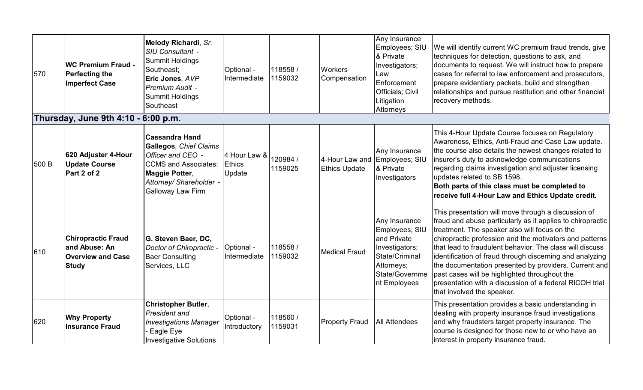| 570   | <b>WC Premium Fraud -</b><br><b>Perfecting the</b><br><b>Imperfect Case</b><br>Thursday, June 9th 4:10 - 6:00 p.m. | Melody Richardi, Sr.<br>SIU Consultant -<br><b>Summit Holdings</b><br>Southeast;<br>Eric Jones, AVP<br>Premium Audit -<br><b>Summit Holdings</b><br>Southeast         | Optional -<br>Intermediate              | 118558/<br>1159032  | Workers<br>Compensation                | Any Insurance<br>Employees; SIU<br>& Private<br>Investigators;<br>Law<br>Enforcement<br>Officials; Civil<br>Litigation<br><b>Attorneys</b> | We will identify current WC premium fraud trends, give<br>techniques for detection, questions to ask, and<br>documents to request. We will instruct how to prepare<br>cases for referral to law enforcement and prosecutors,<br>prepare evidentiary packets, build and strengthen<br>relationships and pursue restitution and other financial<br>recovery methods.                                                                                                                                                                                       |
|-------|--------------------------------------------------------------------------------------------------------------------|-----------------------------------------------------------------------------------------------------------------------------------------------------------------------|-----------------------------------------|---------------------|----------------------------------------|--------------------------------------------------------------------------------------------------------------------------------------------|----------------------------------------------------------------------------------------------------------------------------------------------------------------------------------------------------------------------------------------------------------------------------------------------------------------------------------------------------------------------------------------------------------------------------------------------------------------------------------------------------------------------------------------------------------|
| 500 B | 620 Adjuster 4-Hour<br><b>Update Course</b><br>Part 2 of 2                                                         | <b>Cassandra Hand</b><br>Gallegos, Chief Claims<br>Officer and CEO -<br><b>CCMS and Associates:</b><br>Maggie Potter,<br>Attorney/ Shareholder -<br>Galloway Law Firm | 4 Hour Law &<br><b>Ethics</b><br>Update | 120984 /<br>1159025 | 4-Hour Law and<br><b>Ethics Update</b> | Any Insurance<br>Employees; SIU<br>& Private<br>Investigators                                                                              | This 4-Hour Update Course focuses on Regulatory<br>Awareness, Ethics, Anti-Fraud and Case Law update.<br>the course also details the newest changes related to<br>insurer's duty to acknowledge communications<br>regarding claims investigation and adjuster licensing<br>updates related to SB 1598.<br>Both parts of this class must be completed to<br>receive full 4-Hour Law and Ethics Update credit.                                                                                                                                             |
| 610   | <b>Chiropractic Fraud</b><br>and Abuse: An<br><b>Overview and Case</b><br><b>Study</b>                             | G. Steven Baer, DC,<br>Doctor of Chiropractic<br><b>Baer Consulting</b><br>Services, LLC                                                                              | Optional -<br>Intermediate              | 118558/<br>1159032  | <b>Medical Fraud</b>                   | Any Insurance<br>Employees; SIU<br>and Private<br>Investigators;<br>State/Criminal<br>Attorneys;<br>State/Governme<br>nt Employees         | This presentation will move through a discussion of<br>fraud and abuse particularly as it applies to chiropractic<br>treatment. The speaker also will focus on the<br>chiropractic profession and the motivators and patterns<br>that lead to fraudulent behavior. The class will discuss<br>identification of fraud through discerning and analyzing<br>the documentation presented by providers. Current and<br>past cases will be highlighted throughout the<br>presentation with a discussion of a federal RICOH trial<br>that involved the speaker. |
| 620   | <b>Why Property</b><br><b>Insurance Fraud</b>                                                                      | <b>Christopher Butler,</b><br>President and<br><b>Investigations Manager</b><br>Eagle Eye<br><b>Investigative Solutions</b>                                           | Optional -<br>Introductory              | 118560/<br>1159031  | <b>Property Fraud</b>                  | <b>All Attendees</b>                                                                                                                       | This presentation provides a basic understanding in<br>dealing with property insurance fraud investigations<br>and why fraudsters target property insurance. The<br>course is designed for those new to or who have an<br>interest in property insurance fraud.                                                                                                                                                                                                                                                                                          |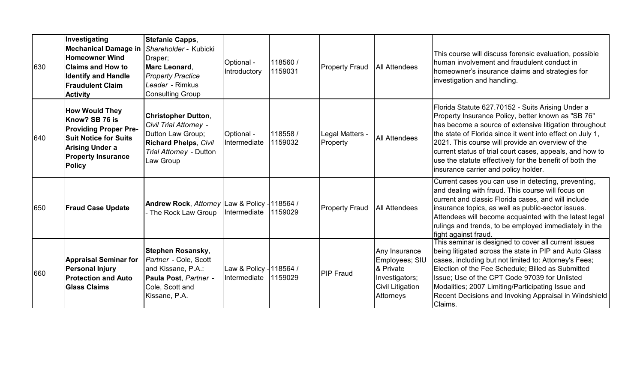| 630 | Investigating<br><b>Mechanical Damage in</b><br><b>Homeowner Wind</b><br><b>Claims and How to</b><br><b>Identify and Handle</b><br><b>Fraudulent Claim</b><br><b>Activity</b>   | <b>Stefanie Capps,</b><br>Shareholder - Kubicki<br>Draper;<br><b>Marc Leonard.</b><br><b>Property Practice</b><br>Leader - Rimkus<br><b>Consulting Group</b> | Optional -<br>Introductory                       | 118560/<br>1159031 | <b>Property Fraud</b>       | <b>All Attendees</b>                                                                            | This course will discuss forensic evaluation, possible<br>Ihuman involvement and fraudulent conduct in<br>homeowner's insurance claims and strategies for<br>investigation and handling.                                                                                                                                                                                                                                                           |
|-----|---------------------------------------------------------------------------------------------------------------------------------------------------------------------------------|--------------------------------------------------------------------------------------------------------------------------------------------------------------|--------------------------------------------------|--------------------|-----------------------------|-------------------------------------------------------------------------------------------------|----------------------------------------------------------------------------------------------------------------------------------------------------------------------------------------------------------------------------------------------------------------------------------------------------------------------------------------------------------------------------------------------------------------------------------------------------|
| 640 | <b>How Would They</b><br>Know? SB 76 is<br><b>Providing Proper Pre-</b><br><b>Suit Notice for Suits</b><br><b>Arising Under a</b><br><b>Property Insurance</b><br><b>Policy</b> | <b>Christopher Dutton,</b><br>Civil Trial Attorney -<br>Dutton Law Group;<br><b>Richard Phelps, Civil</b><br>Trial Attorney - Dutton<br>Law Group            | Optional -<br>Intermediate                       | 118558/<br>1159032 | Legal Matters -<br>Property | <b>All Attendees</b>                                                                            | Florida Statute 627.70152 - Suits Arising Under a<br>Property Insurance Policy, better known as "SB 76"<br>has become a source of extensive litigation throughout<br>the state of Florida since it went into effect on July 1,<br>2021. This course will provide an overview of the<br>current status of trial court cases, appeals, and how to<br>use the statute effectively for the benefit of both the<br>insurance carrier and policy holder. |
| 650 | <b>Fraud Case Update</b>                                                                                                                                                        | Andrew Rock, Attorney Law & Policy -118564 /<br>The Rock Law Group -                                                                                         | Intermediate 1159029                             |                    | <b>Property Fraud</b>       | All Attendees                                                                                   | Current cases you can use in detecting, preventing,<br>and dealing with fraud. This course will focus on<br>current and classic Florida cases, and will include<br>insurance topics, as well as public-sector issues.<br>Attendees will become acquainted with the latest legal<br>rulings and trends, to be employed immediately in the<br>fight against fraud.                                                                                   |
| 660 | <b>Appraisal Seminar for</b><br><b>Personal Injury</b><br><b>Protection and Auto</b><br><b>Glass Claims</b>                                                                     | <b>Stephen Rosansky,</b><br>Partner - Cole, Scott<br>and Kissane, P.A.:<br>Paula Post, Partner -<br>Cole, Scott and<br>Kissane, P.A.                         | Law & Policy - 118564 /<br>Intermediate 11159029 |                    | <b>PIP Fraud</b>            | Any Insurance<br>Employees; SIU<br>& Private<br>Investigators;<br>Civil Litigation<br>Attorneys | This seminar is designed to cover all current issues<br>being litigated across the state in PIP and Auto Glass<br>cases, including but not limited to: Attorney's Fees;<br>Election of the Fee Schedule; Billed as Submitted<br>Issue; Use of the CPT Code 97039 for Unlisted<br>Modalities; 2007 Limiting/Participating Issue and<br>Recent Decisions and Invoking Appraisal in Windshield<br>Claims.                                             |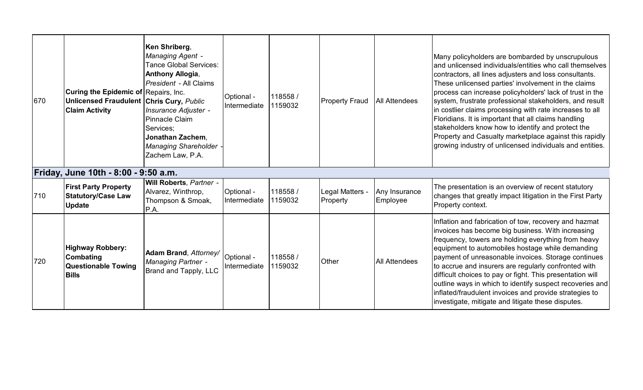| 670 | Curing the Epidemic of Repairs, Inc.<br><b>Unlicensed Fraudulent Chris Cury, Public</b><br><b>Claim Activity</b> | Ken Shriberg,<br><b>Managing Agent -</b><br><b>Tance Global Services:</b><br><b>Anthony Allogia,</b><br>President - All Claims<br>Insurance Adjuster -<br>Pinnacle Claim<br>Services:<br><b>Jonathan Zachem.</b><br><b>Managing Shareholder</b><br>Zachem Law, P.A. | Optional -<br>Intermediate | 118558 /<br>1159032 | <b>Property Fraud</b>       | <b>All Attendees</b>      | Many policyholders are bombarded by unscrupulous<br>land unlicensed individuals/entities who call themselves<br>contractors, all lines adjusters and loss consultants.<br>These unlicensed parties' involvement in the claims<br>process can increase policyholders' lack of trust in the<br>system, frustrate professional stakeholders, and result<br>In costlier claims processing with rate increases to all<br>Floridians. It is important that all claims handling<br>stakeholders know how to identify and protect the<br>Property and Casualty marketplace against this rapidly<br>growing industry of unlicensed individuals and entities. |
|-----|------------------------------------------------------------------------------------------------------------------|---------------------------------------------------------------------------------------------------------------------------------------------------------------------------------------------------------------------------------------------------------------------|----------------------------|---------------------|-----------------------------|---------------------------|-----------------------------------------------------------------------------------------------------------------------------------------------------------------------------------------------------------------------------------------------------------------------------------------------------------------------------------------------------------------------------------------------------------------------------------------------------------------------------------------------------------------------------------------------------------------------------------------------------------------------------------------------------|
|     | Friday, June 10th - 8:00 - 9:50 a.m.                                                                             |                                                                                                                                                                                                                                                                     |                            |                     |                             |                           |                                                                                                                                                                                                                                                                                                                                                                                                                                                                                                                                                                                                                                                     |
| 710 | <b>First Party Property</b><br><b>Statutory/Case Law</b><br><b>Update</b>                                        | Will Roberts, Partner -<br>Alvarez, Winthrop,<br>Thompson & Smoak,<br>P.A.                                                                                                                                                                                          | Optional -<br>Intermediate | 118558 /<br>1159032 | Legal Matters -<br>Property | Any Insurance<br>Employee | The presentation is an overview of recent statutory<br>changes that greatly impact litigation in the First Party<br>Property context.                                                                                                                                                                                                                                                                                                                                                                                                                                                                                                               |
| 720 | <b>Highway Robbery:</b><br><b>Combating</b><br><b>Questionable Towing</b><br><b>Bills</b>                        | Adam Brand, Attorney/<br><b>Managing Partner -</b><br>Brand and Tapply, LLC                                                                                                                                                                                         | Optional -<br>Intermediate | 118558 /<br>1159032 | Other                       | <b>All Attendees</b>      | Inflation and fabrication of tow, recovery and hazmat<br>invoices has become big business. With increasing<br>frequency, towers are holding everything from heavy<br>equipment to automobiles hostage while demanding<br>payment of unreasonable invoices. Storage continues<br>to accrue and insurers are regularly confronted with<br>difficult choices to pay or fight. This presentation will<br>outline ways in which to identify suspect recoveries and<br>inflated/fraudulent invoices and provide strategies to<br>investigate, mitigate and litigate these disputes.                                                                       |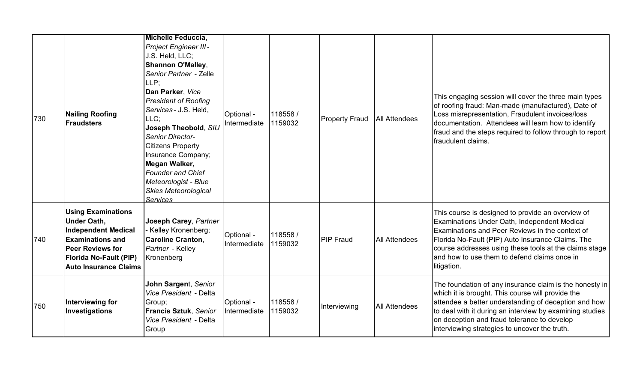| 730 | <b>Nailing Roofing</b><br><b>Fraudsters</b>                                                                                                                                                          | <u> Michelle Feduccia,</u><br><b>Project Engineer III-</b><br>J.S. Held, LLC;<br><b>Shannon O'Malley,</b><br>Senior Partner - Zelle<br>LLP;<br>Dan Parker, Vice<br><b>President of Roofing</b><br>Services - J.S. Held,<br>LLC;<br>Joseph Theobold, SIU<br><b>Senior Director-</b><br><b>Citizens Property</b><br>Insurance Company;<br>Megan Walker,<br><b>Founder and Chief</b><br>Meteorologist - Blue<br><b>Skies Meteorological</b><br><b>Services</b> | Optional -<br>Intermediate | 118558 /<br>1159032 | <b>Property Fraud</b> | <b>All Attendees</b> | This engaging session will cover the three main types<br>of roofing fraud: Man-made (manufactured), Date of<br>Loss misrepresentation, Fraudulent invoices/loss<br>documentation. Attendees will learn how to identify<br>fraud and the steps required to follow through to report<br>fraudulent claims.                           |
|-----|------------------------------------------------------------------------------------------------------------------------------------------------------------------------------------------------------|-------------------------------------------------------------------------------------------------------------------------------------------------------------------------------------------------------------------------------------------------------------------------------------------------------------------------------------------------------------------------------------------------------------------------------------------------------------|----------------------------|---------------------|-----------------------|----------------------|------------------------------------------------------------------------------------------------------------------------------------------------------------------------------------------------------------------------------------------------------------------------------------------------------------------------------------|
| 740 | <b>Using Examinations</b><br><b>Under Oath,</b><br><b>Independent Medical</b><br><b>Examinations and</b><br><b>Peer Reviews for</b><br><b>Florida No-Fault (PIP)</b><br><b>Auto Insurance Claims</b> | Joseph Carey, Partner<br>Kelley Kronenberg;<br><b>Caroline Cranton,</b><br>Partner - Kelley<br>Kronenberg                                                                                                                                                                                                                                                                                                                                                   | Optional -<br>Intermediate | 118558 /<br>1159032 | <b>PIP Fraud</b>      | <b>All Attendees</b> | This course is designed to provide an overview of<br>Examinations Under Oath, Independent Medical<br>Examinations and Peer Reviews in the context of<br>Florida No-Fault (PIP) Auto Insurance Claims. The<br>course addresses using these tools at the claims stage<br>and how to use them to defend claims once in<br>litigation. |
| 750 | Interviewing for<br>Investigations                                                                                                                                                                   | John Sargent, Senior<br>Vice President - Delta<br>Group;<br>Francis Sztuk, Senior<br>Vice President - Delta<br>Group                                                                                                                                                                                                                                                                                                                                        | Optional -<br>Intermediate | 118558 /<br>1159032 | Interviewing          | <b>All Attendees</b> | The foundation of any insurance claim is the honesty in<br>which it is brought. This course will provide the<br>attendee a better understanding of deception and how<br>to deal with it during an interview by examining studies<br>on deception and fraud tolerance to develop<br>interviewing strategies to uncover the truth.   |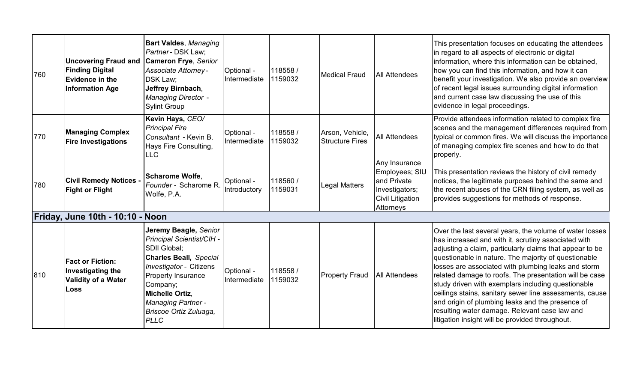| 760 | <b>Uncovering Fraud and</b><br><b>Finding Digital</b><br><b>Evidence in the</b><br><b>Information Age</b> | <b>Bart Valdes, Managing</b><br>Partner - DSK Law;<br><b>Cameron Frye, Senior</b><br><b>Associate Attorney-</b><br>DSK Law:<br>Jeffrey Birnbach,<br><b>Managing Director -</b><br><b>Sylint Group</b>                                                                   | Optional -<br>Intermediate | 118558 /<br>1159032 | <b>Medical Fraud</b>                      | <b>All Attendees</b>                                                                                     | This presentation focuses on educating the attendees<br>in regard to all aspects of electronic or digital<br>information, where this information can be obtained,<br>how you can find this information, and how it can<br>benefit your investigation. We also provide an overview<br>of recent legal issues surrounding digital information<br>and current case law discussing the use of this<br>evidence in legal proceedings.                                                                                                                                                                                             |
|-----|-----------------------------------------------------------------------------------------------------------|-------------------------------------------------------------------------------------------------------------------------------------------------------------------------------------------------------------------------------------------------------------------------|----------------------------|---------------------|-------------------------------------------|----------------------------------------------------------------------------------------------------------|------------------------------------------------------------------------------------------------------------------------------------------------------------------------------------------------------------------------------------------------------------------------------------------------------------------------------------------------------------------------------------------------------------------------------------------------------------------------------------------------------------------------------------------------------------------------------------------------------------------------------|
| 770 | <b>Managing Complex</b><br><b>Fire Investigations</b>                                                     | Kevin Hays, CEO/<br><b>Principal Fire</b><br>Consultant - Kevin B.<br>Hays Fire Consulting,<br><b>LLC</b>                                                                                                                                                               | Optional -<br>Intermediate | 118558 /<br>1159032 | Arson, Vehicle,<br><b>Structure Fires</b> | <b>All Attendees</b>                                                                                     | Provide attendees information related to complex fire<br>scenes and the management differences required from<br>typical or common fires. We will discuss the importance<br>of managing complex fire scenes and how to do that<br>properly.                                                                                                                                                                                                                                                                                                                                                                                   |
| 780 | <b>Civil Remedy Notices -</b><br><b>Fight or Flight</b>                                                   | <b>Scharome Wolfe.</b><br>Founder - Scharome R<br>Wolfe, P.A.                                                                                                                                                                                                           | Optional -<br>Introductory | 118560 /<br>1159031 | Legal Matters                             | Any Insurance<br>Employees; SIU<br>and Private<br>Investigators;<br><b>Civil Litigation</b><br>Attorneys | This presentation reviews the history of civil remedy<br>notices, the legitimate purposes behind the same and<br>the recent abuses of the CRN filing system, as well as<br>provides suggestions for methods of response.                                                                                                                                                                                                                                                                                                                                                                                                     |
|     | Friday, June 10th - 10:10 - Noon                                                                          |                                                                                                                                                                                                                                                                         |                            |                     |                                           |                                                                                                          |                                                                                                                                                                                                                                                                                                                                                                                                                                                                                                                                                                                                                              |
| 810 | <b>Fact or Fiction:</b><br><b>Investigating the</b><br><b>Validity of a Water</b><br>Loss                 | Jeremy Beagle, Senior<br>Principal Scientist/CIH -<br><b>SDII Global:</b><br><b>Charles Beall, Special</b><br>Investigator - Citizens<br>Property Insurance<br>Company;<br><b>Michelle Ortiz,</b><br><b>Managing Partner -</b><br>Briscoe Ortiz Zuluaga,<br><b>PLLC</b> | Optional -<br>Intermediate | 118558 /<br>1159032 | <b>Property Fraud</b>                     | <b>All Attendees</b>                                                                                     | Over the last several years, the volume of water losses<br>has increased and with it, scrutiny associated with<br>adjusting a claim, particularly claims that appear to be<br>questionable in nature. The majority of questionable<br>losses are associated with plumbing leaks and storm<br>related damage to roofs. The presentation will be case<br>study driven with exemplars including questionable<br>ceilings stains, sanitary sewer line assessments, cause<br>and origin of plumbing leaks and the presence of<br>resulting water damage. Relevant case law and<br>litigation insight will be provided throughout. |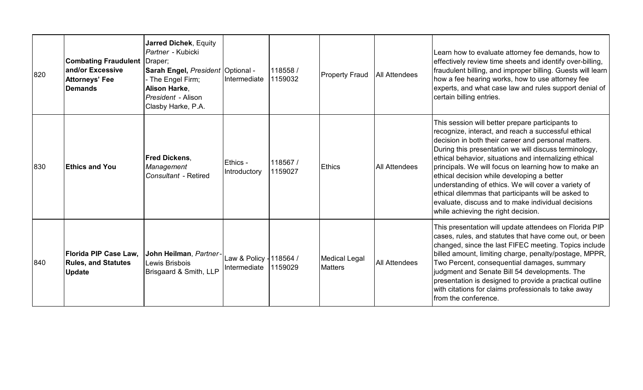| 820 | <b>Combating Fraudulent</b><br>land/or Excessive<br><b>Attorneys' Fee</b><br><b>Demands</b> | <b>Jarred Dichek, Equity</b><br>Partner - Kubicki<br>Draper;<br><b>Sarah Engel, President Optional -</b><br>- The Engel Firm;<br><b>Alison Harke,</b><br>President - Alison<br>Clasby Harke, P.A. | Intermediate                            | 118558/<br>1159032 | <b>Property Fraud</b>                  | <b>All Attendees</b> | Learn how to evaluate attorney fee demands, how to<br>effectively review time sheets and identify over-billing,<br>fraudulent billing, and improper billing. Guests will learn<br>how a fee hearing works, how to use attorney fee<br>experts, and what case law and rules support denial of<br>certain billing entries.                                                                                                                                                                                                                                                                           |
|-----|---------------------------------------------------------------------------------------------|---------------------------------------------------------------------------------------------------------------------------------------------------------------------------------------------------|-----------------------------------------|--------------------|----------------------------------------|----------------------|----------------------------------------------------------------------------------------------------------------------------------------------------------------------------------------------------------------------------------------------------------------------------------------------------------------------------------------------------------------------------------------------------------------------------------------------------------------------------------------------------------------------------------------------------------------------------------------------------|
| 830 | <b>Ethics and You</b>                                                                       | <b>Fred Dickens,</b><br>Management<br>Consultant - Retired                                                                                                                                        | Ethics -<br>Introductory                | 118567/<br>1159027 | <b>Ethics</b>                          | <b>All Attendees</b> | This session will better prepare participants to<br>recognize, interact, and reach a successful ethical<br>decision in both their career and personal matters.<br>During this presentation we will discuss terminology,<br>ethical behavior, situations and internalizing ethical<br>principals. We will focus on learning how to make an<br>ethical decision while developing a better<br>understanding of ethics. We will cover a variety of<br>ethical dilemmas that participants will be asked to<br>evaluate, discuss and to make individual decisions<br>while achieving the right decision. |
| 840 | Florida PIP Case Law,<br><b>Rules, and Statutes</b><br><b>Update</b>                        | John Heilman, Partner<br>Lewis Brisbois<br>Brisgaard & Smith, LLP                                                                                                                                 | Law & Policy - 118564 /<br>Intermediate | 1159029            | <b>Medical Legal</b><br><b>Matters</b> | <b>All Attendees</b> | This presentation will update attendees on Florida PIP<br>cases, rules, and statutes that have come out, or been<br>changed, since the last FIFEC meeting. Topics include<br>billed amount, limiting charge, penalty/postage, MPPR,<br>Two Percent, consequential damages, summary<br>judgment and Senate Bill 54 developments. The<br>presentation is designed to provide a practical outline<br>with citations for claims professionals to take away<br>from the conference.                                                                                                                     |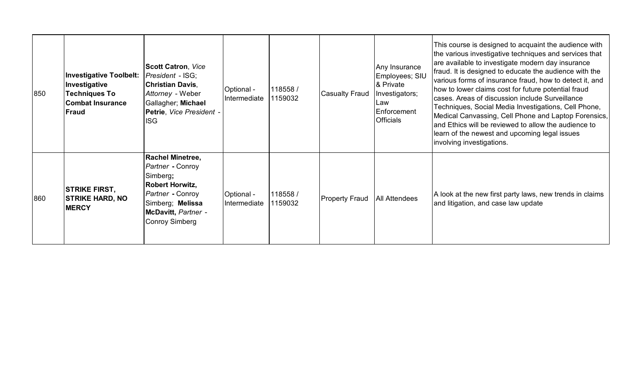| 850 | <b>Investigative Toolbelt:</b><br>Investigative<br><b>Techniques To</b><br><b>Combat Insurance</b><br><b> Fraud</b> | <b>Scott Catron, Vice</b><br>President - ISG;<br><b>Christian Davis,</b><br>Attorney - Weber<br>Gallagher; Michael<br>Petrie, Vice President -<br><b>ISG</b>              | Optional -<br>Intermediate | 118558 /<br>1159032 | <b>Casualty Fraud</b> | Any Insurance<br>Employees; SIU<br>& Private<br>Investigators;<br>Law<br>Enforcement<br><b>Officials</b> | This course is designed to acquaint the audience with<br>the various investigative techniques and services that<br>are available to investigate modern day insurance<br>fraud. It is designed to educate the audience with the<br>various forms of insurance fraud, how to detect it, and<br>how to lower claims cost for future potential fraud<br>cases. Areas of discussion include Surveillance<br>Techniques, Social Media Investigations, Cell Phone,<br>Medical Canvassing, Cell Phone and Laptop Forensics,<br>and Ethics will be reviewed to allow the audience to<br>learn of the newest and upcoming legal issues<br>involving investigations. |
|-----|---------------------------------------------------------------------------------------------------------------------|---------------------------------------------------------------------------------------------------------------------------------------------------------------------------|----------------------------|---------------------|-----------------------|----------------------------------------------------------------------------------------------------------|-----------------------------------------------------------------------------------------------------------------------------------------------------------------------------------------------------------------------------------------------------------------------------------------------------------------------------------------------------------------------------------------------------------------------------------------------------------------------------------------------------------------------------------------------------------------------------------------------------------------------------------------------------------|
| 860 | <b>STRIKE FIRST,</b><br><b>STRIKE HARD, NO</b><br><b>MERCY</b>                                                      | <b>Rachel Minetree,</b><br>Partner - Conroy<br>Simberg;<br><b>Robert Horwitz,</b><br>Partner - Conroy<br>Simberg; Melissa<br>McDavitt, Partner -<br><b>Conroy Simberg</b> | Optional -<br>Intermediate | 118558/<br>1159032  | <b>Property Fraud</b> | All Attendees                                                                                            | A look at the new first party laws, new trends in claims<br>and litigation, and case law update                                                                                                                                                                                                                                                                                                                                                                                                                                                                                                                                                           |